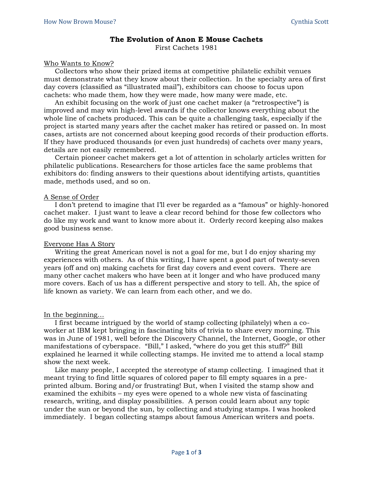# **The Evolution of Anon E Mouse Cachets**

First Cachets 1981

## Who Wants to Know?

Collectors who show their prized items at competitive philatelic exhibit venues must demonstrate what they know about their collection. In the specialty area of first day covers (classified as "illustrated mail"), exhibitors can choose to focus upon cachets: who made them, how they were made, how many were made, etc.

An exhibit focusing on the work of just one cachet maker (a "retrospective") is improved and may win high-level awards if the collector knows everything about the whole line of cachets produced. This can be quite a challenging task, especially if the project is started many years after the cachet maker has retired or passed on. In most cases, artists are not concerned about keeping good records of their production efforts. If they have produced thousands (or even just hundreds) of cachets over many years, details are not easily remembered.

Certain pioneer cachet makers get a lot of attention in scholarly articles written for philatelic publications. Researchers for those articles face the same problems that exhibitors do: finding answers to their questions about identifying artists, quantities made, methods used, and so on.

#### A Sense of Order

I don't pretend to imagine that I'll ever be regarded as a "famous" or highly-honored cachet maker. I just want to leave a clear record behind for those few collectors who do like my work and want to know more about it. Orderly record keeping also makes good business sense.

## Everyone Has A Story

Writing the great American novel is not a goal for me, but I do enjoy sharing my experiences with others. As of this writing, I have spent a good part of twenty-seven years (off and on) making cachets for first day covers and event covers. There are many other cachet makers who have been at it longer and who have produced many more covers. Each of us has a different perspective and story to tell. Ah, the spice of life known as variety. We can learn from each other, and we do.

## In the beginning…

I first became intrigued by the world of stamp collecting (philately) when a coworker at IBM kept bringing in fascinating bits of trivia to share every morning. This was in June of 1981, well before the Discovery Channel, the Internet, Google, or other manifestations of cyberspace. "Bill," I asked, "where do you get this stuff?" Bill explained he learned it while collecting stamps. He invited me to attend a local stamp show the next week.

Like many people, I accepted the stereotype of stamp collecting. I imagined that it meant trying to find little squares of colored paper to fill empty squares in a preprinted album. Boring and/or frustrating! But, when I visited the stamp show and examined the exhibits – my eyes were opened to a whole new vista of fascinating research, writing, and display possibilities. A person could learn about any topic under the sun or beyond the sun, by collecting and studying stamps. I was hooked immediately. I began collecting stamps about famous American writers and poets.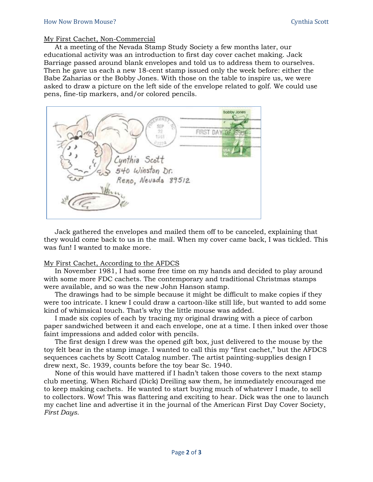#### My First Cachet, Non-Commercial

At a meeting of the Nevada Stamp Study Society a few months later, our educational activity was an introduction to first day cover cachet making. Jack Barriage passed around blank envelopes and told us to address them to ourselves. Then he gave us each a new 18-cent stamp issued only the week before: either the Babe Zaharias or the Bobby Jones. With those on the table to inspire us, we were asked to draw a picture on the left side of the envelope related to golf. We could use pens, fine-tip markers, and/or colored pencils.



Jack gathered the envelopes and mailed them off to be canceled, explaining that they would come back to us in the mail. When my cover came back, I was tickled. This was fun! I wanted to make more.

## My First Cachet, According to the AFDCS

In November 1981, I had some free time on my hands and decided to play around with some more FDC cachets. The contemporary and traditional Christmas stamps were available, and so was the new John Hanson stamp.

The drawings had to be simple because it might be difficult to make copies if they were too intricate. I knew I could draw a cartoon-like still life, but wanted to add some kind of whimsical touch. That's why the little mouse was added.

I made six copies of each by tracing my original drawing with a piece of carbon paper sandwiched between it and each envelope, one at a time. I then inked over those faint impressions and added color with pencils.

The first design I drew was the opened gift box, just delivered to the mouse by the toy felt bear in the stamp image. I wanted to call this my "first cachet," but the AFDCS sequences cachets by Scott Catalog number. The artist painting-supplies design I drew next, Sc. 1939, counts before the toy bear Sc. 1940.

None of this would have mattered if I hadn't taken those covers to the next stamp club meeting. When Richard (Dick) Dreiling saw them, he immediately encouraged me to keep making cachets. He wanted to start buying much of whatever I made, to sell to collectors. Wow! This was flattering and exciting to hear. Dick was the one to launch my cachet line and advertise it in the journal of the American First Day Cover Society, *First Days.*